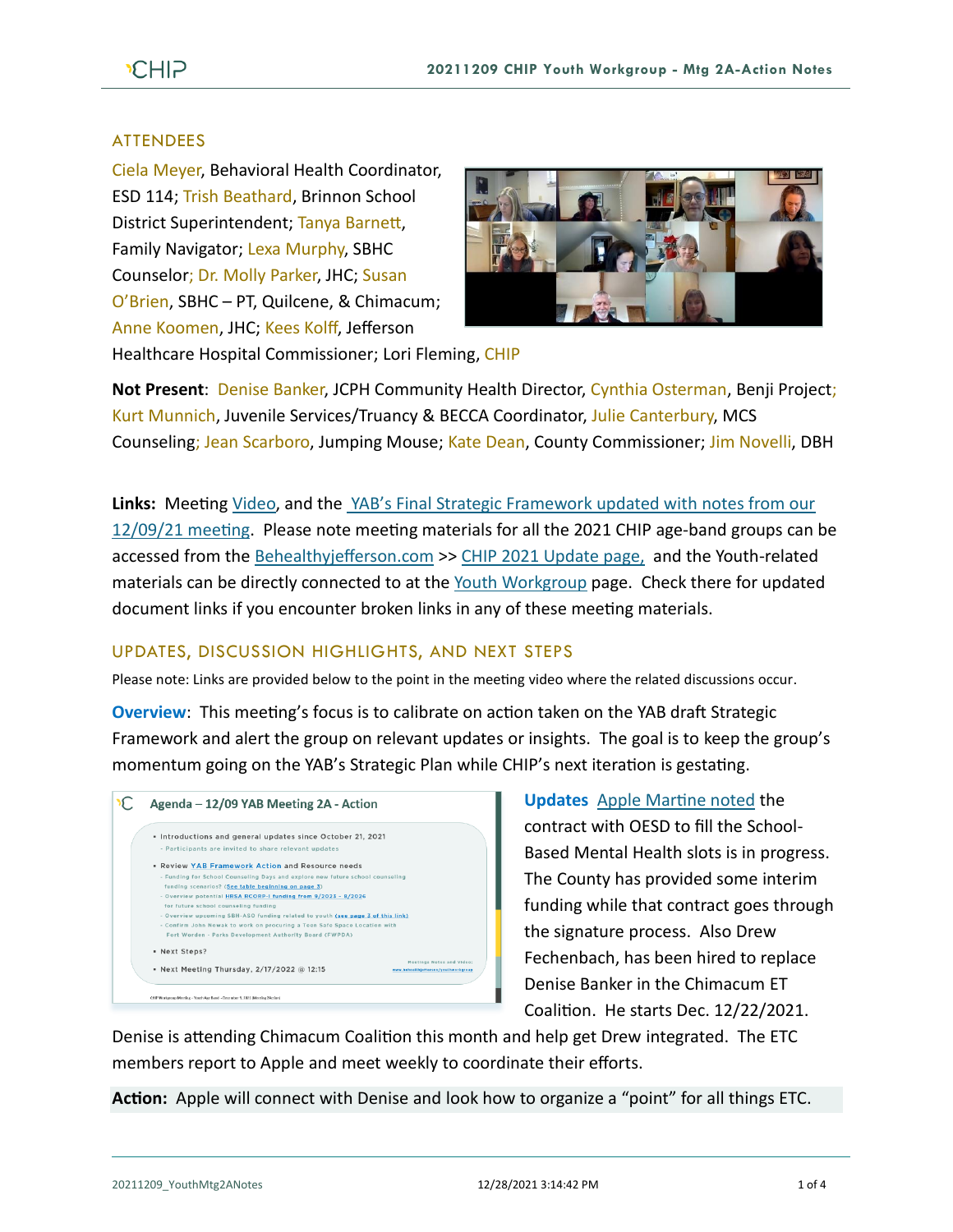## **ATTENDEES**

Ciela Meyer, Behavioral Health Coordinator, ESD 114; Trish Beathard, Brinnon School District Superintendent; Tanya Barnett, Family Navigator; Lexa Murphy, SBHC Counselor; Dr. Molly Parker, JHC; Susan O'Brien, SBHC – PT, Quilcene, & Chimacum; Anne Koomen, JHC; Kees Kolff, Jefferson Healthcare Hospital Commissioner; Lori Fleming, CHIP



**Not Present: Denise Banker, JCPH Community Health Director, Cynthia Osterman, Benji Project;** Kurt Munnich, Juvenile Services/Truancy & BECCA Coordinator, Julie Canterbury, MCS Counseling; Jean Scarboro, Jumping Mouse; Kate Dean, County Commissioner; Jim Novelli, DBH

**Links:** Meeting [Video,](https://www.youtube.com/watch?v=E1qItgXDrLs) and the [YAB's Final Strategic Framework updated with notes from our](https://793b0af6-bf22-4c2c-91c8-8cc6fd2f172d.filesusr.com/ugd/2fdcdd_4aec858f6e5f4adf8afb37db72605b42.pdf)  [12/09/21 meeting.](https://793b0af6-bf22-4c2c-91c8-8cc6fd2f172d.filesusr.com/ugd/2fdcdd_4aec858f6e5f4adf8afb37db72605b42.pdf) Please note meeting materials for all the 2021 CHIP age-band groups can be accessed from the [Behealthyjefferson.com](https://www.behealthyjefferson.com/) >> [CHIP 2021 Update](https://www.behealthyjefferson.com/chip2021update) page, and the Youth-related materials can be directly connected to at the [Youth Workgroup](https://www.behealthyjefferson.com/youthworkgroup) page. Check there for updated document links if you encounter broken links in any of these meeting materials.

# UPDATES, DISCUSSION HIGHLIGHTS, AND NEXT STEPS

Please note: Links are provided below to the point in the meeting video where the related discussions occur.

**Overview**: This meeting's focus is to calibrate on action taken on the YAB draft Strategic Framework and alert the group on relevant updates or insights. The goal is to keep the group's momentum going on the YAB's Strategic Plan while CHIP's next iteration is gestating.



**Updates** [Apple Martine](https://youtu.be/E1qItgXDrLs?t=59) noted the contract with OESD to fill the School-Based Mental Health slots is in progress. The County has provided some interim funding while that contract goes through the signature process. Also Drew Fechenbach, has been hired to replace Denise Banker in the Chimacum ET Coalition. He starts Dec. 12/22/2021.

Denise is attending Chimacum Coalition this month and help get Drew integrated. The ETC members report to Apple and meet weekly to coordinate their efforts.

**Action:** Apple will connect with Denise and look how to organize a "point" for all things ETC.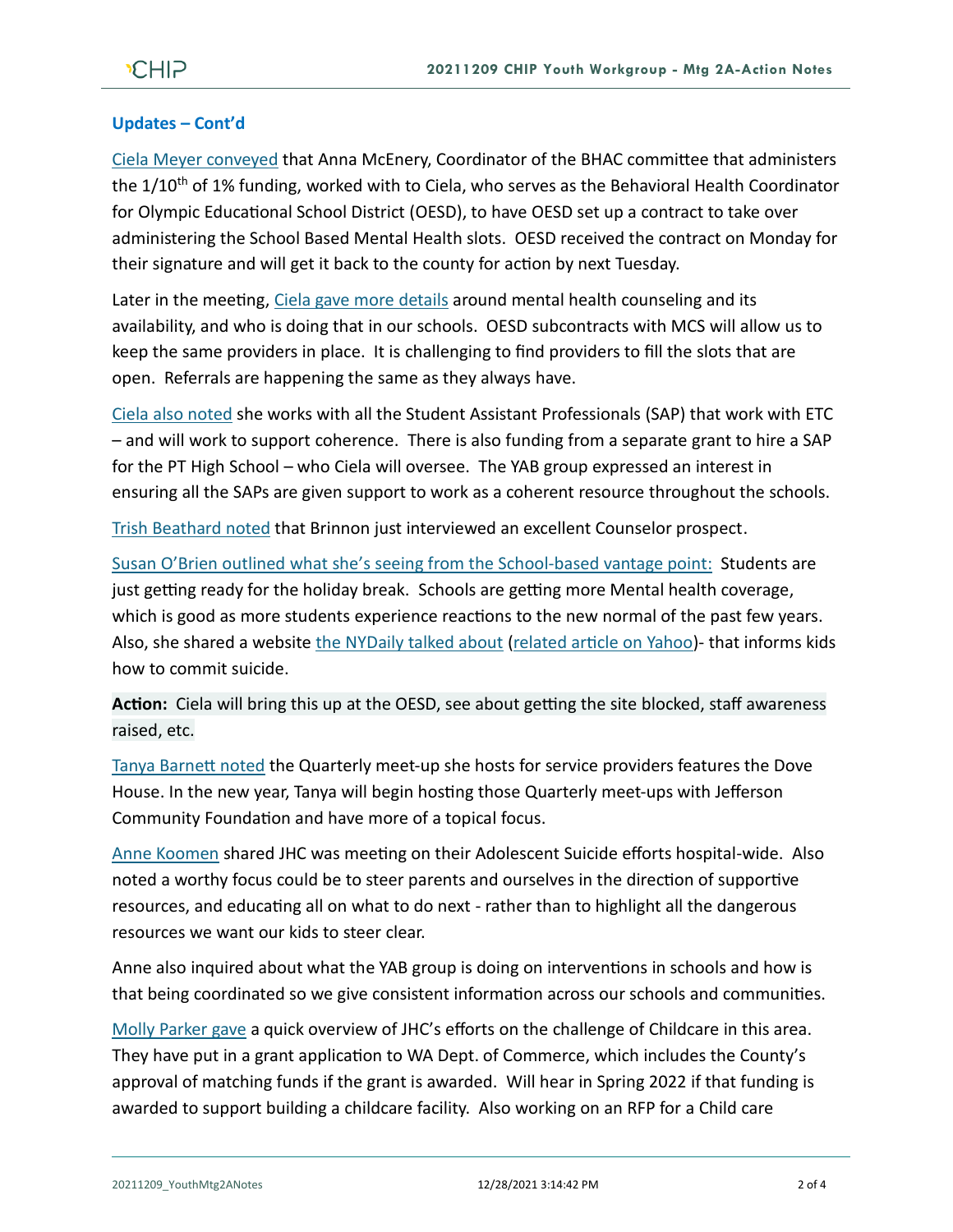### **Updates – Cont'd**

[Ciela Meyer conveyed](https://youtu.be/E1qItgXDrLs?t=117) that Anna McEnery, Coordinator of the BHAC committee that administers the 1/10<sup>th</sup> of 1% funding, worked with to Ciela, who serves as the Behavioral Health Coordinator for Olympic Educational School District (OESD), to have OESD set up a contract to take over administering the School Based Mental Health slots. OESD received the contract on Monday for their signature and will get it back to the county for action by next Tuesday.

Later in the meeting, [Ciela gave more details](https://youtu.be/E1qItgXDrLs?t=2384) around mental health counseling and its availability, and who is doing that in our schools. OESD subcontracts with MCS will allow us to keep the same providers in place. It is challenging to find providers to fill the slots that are open. Referrals are happening the same as they always have.

[Ciela also noted](https://youtu.be/E1qItgXDrLs?t=2060) she works with all the Student Assistant Professionals (SAP) that work with ETC – and will work to support coherence. There is also funding from a separate grant to hire a SAP for the PT High School – who Ciela will oversee. The YAB group expressed an interest in ensuring all the SAPs are given support to work as a coherent resource throughout the schools.

[Trish Beathard noted](https://youtu.be/E1qItgXDrLs?t=227) that Brinnon just interviewed an excellent Counselor prospect.

Susan O'Brien outlined what she's seeing from the School-based vantage point: Students are just getting ready for the holiday break. Schools are getting more Mental health coverage, which is good as more students experience reactions to the new normal of the past few years. Also, she shared a website [the NYDaily talked about](https://www.nytimes.com/interactive/2021/12/09/us/where-the-despairing-log-on.html) [\(related article on Yahoo\)](https://www.yahoo.com/now/where-despairing-log-learn-ways-124843008.html)- that informs kids how to commit suicide.

**Action:** Ciela will bring this up at the OESD, see about getting the site blocked, staff awareness raised, etc.

[Tanya Barnett noted](https://youtu.be/E1qItgXDrLs?t=296) the Quarterly meet-up she hosts for service providers features the Dove House. In the new year, Tanya will begin hosting those Quarterly meet-ups with Jefferson Community Foundation and have more of a topical focus.

[Anne Koomen](https://youtu.be/E1qItgXDrLs?t=476) shared JHC was meeting on their Adolescent Suicide efforts hospital-wide. Also noted a worthy focus could be to steer parents and ourselves in the direction of supportive resources, and educating all on what to do next - rather than to highlight all the dangerous resources we want our kids to steer clear.

Anne also inquired about what the YAB group is doing on interventions in schools and how is that being coordinated so we give consistent information across our schools and communities.

[Molly Parker](https://youtu.be/E1qItgXDrLs?t=503) gave a quick overview of JHC's efforts on the challenge of Childcare in this area. They have put in a grant application to WA Dept. of Commerce, which includes the County's approval of matching funds if the grant is awarded. Will hear in Spring 2022 if that funding is awarded to support building a childcare facility. Also working on an RFP for a Child care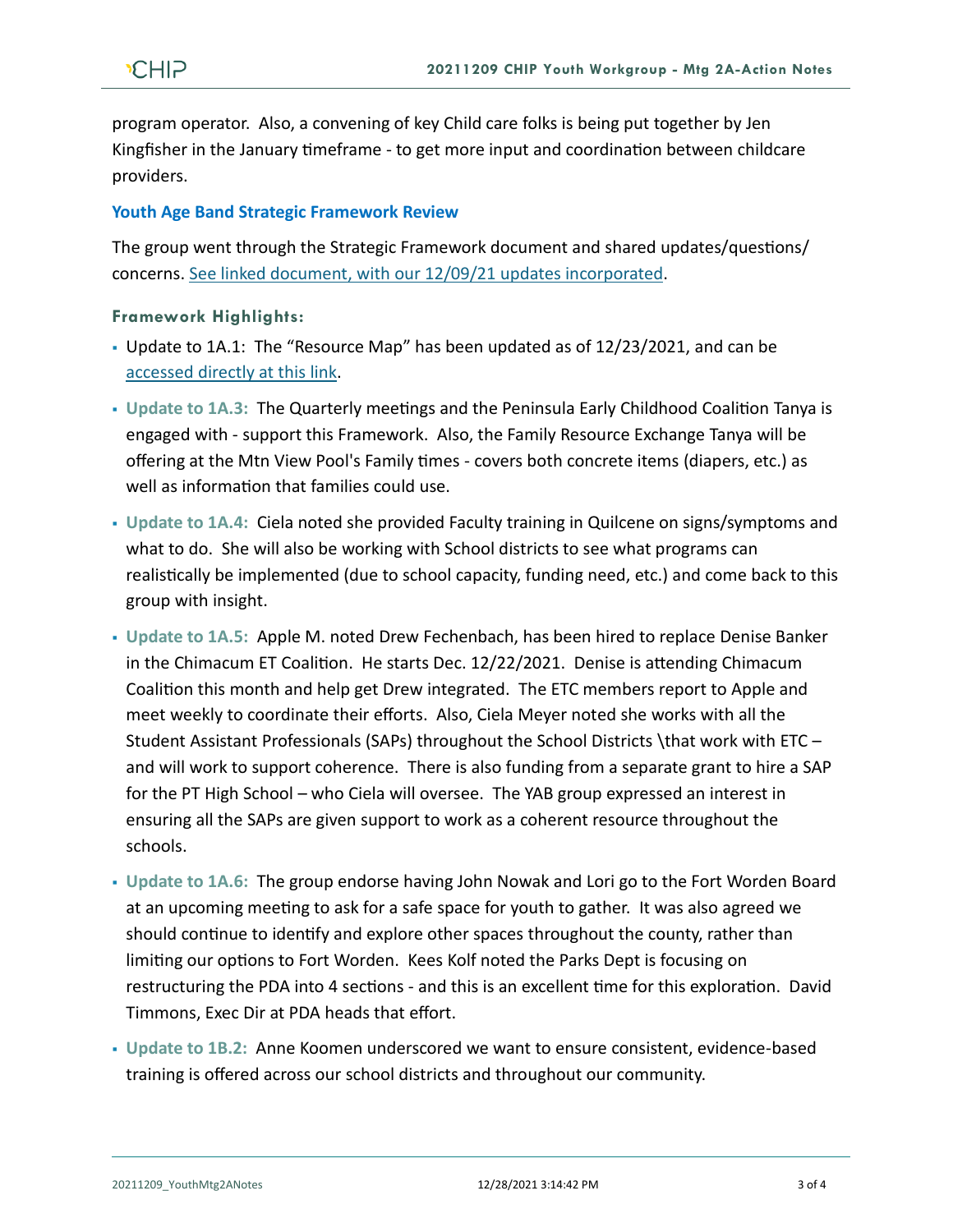program operator. Also, a convening of key Child care folks is being put together by Jen Kingfisher in the January timeframe - to get more input and coordination between childcare providers.

#### **Youth Age Band Strategic Framework Review**

The group went through the Strategic Framework document and shared updates/questions/ concerns. See linked document, [with our 12/09/21 updates incorporated.](https://793b0af6-bf22-4c2c-91c8-8cc6fd2f172d.filesusr.com/ugd/2fdcdd_4aec858f6e5f4adf8afb37db72605b42.pdf)

#### **Framework Highlights:**

- **Update to 1A.1: The "Resource Map" has been updated as of**  $12/23/2021$ **, and can be** [accessed directly at this](https://bit.ly/3qxMndO) link.
- **Update to 1A.3:** The Quarterly meetings and the Peninsula Early Childhood Coalition Tanya is engaged with - support this Framework. Also, the Family Resource Exchange Tanya will be offering at the Mtn View Pool's Family times - covers both concrete items (diapers, etc.) as well as information that families could use.
- **Update to 1A.4:** Ciela noted she provided Faculty training in Quilcene on signs/symptoms and what to do. She will also be working with School districts to see what programs can realistically be implemented (due to school capacity, funding need, etc.) and come back to this group with insight.
- **Update to 1A.5:** Apple M. noted Drew Fechenbach, has been hired to replace Denise Banker in the Chimacum ET Coalition. He starts Dec. 12/22/2021. Denise is attending Chimacum Coalition this month and help get Drew integrated. The ETC members report to Apple and meet weekly to coordinate their efforts. Also, Ciela Meyer noted she works with all the Student Assistant Professionals (SAPs) throughout the School Districts \that work with ETC – and will work to support coherence. There is also funding from a separate grant to hire a SAP for the PT High School – who Ciela will oversee. The YAB group expressed an interest in ensuring all the SAPs are given support to work as a coherent resource throughout the schools.
- **Update to 1A.6:** The group endorse having John Nowak and Lori go to the Fort Worden Board at an upcoming meeting to ask for a safe space for youth to gather. It was also agreed we should continue to identify and explore other spaces throughout the county, rather than limiting our options to Fort Worden. Kees Kolf noted the Parks Dept is focusing on restructuring the PDA into 4 sections - and this is an excellent time for this exploration. David Timmons, Exec Dir at PDA heads that effort.
- **Update to 1B.2:** Anne Koomen underscored we want to ensure consistent, evidence-based training is offered across our school districts and throughout our community.